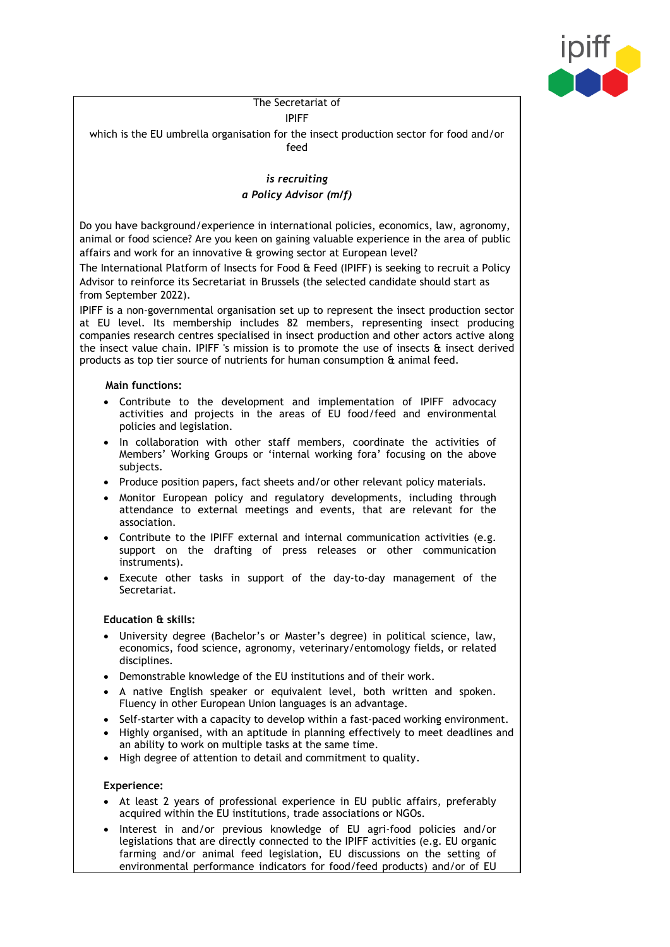

# The Secretariat of

IPIFF

which is the EU umbrella organisation for the insect production sector for food and/or feed

# *is recruiting a Policy Advisor (m/f)*

Do you have background/experience in international policies, economics, law, agronomy, animal or food science? Are you keen on gaining valuable experience in the area of public affairs and work for an innovative & growing sector at European level?

The International Platform of Insects for Food & Feed (IPIFF) is seeking to recruit a Policy Advisor to reinforce its Secretariat in Brussels (the selected candidate should start as from September 2022).

IPIFF is a non-governmental organisation set up to represent the insect production sector at EU level. Its membership includes 82 members, representing insect producing companies research centres specialised in insect production and other actors active along the insect value chain. IPIFF 's mission is to promote the use of insects & insect derived products as top tier source of nutrients for human consumption & animal feed.

#### **Main functions:**

- Contribute to the development and implementation of IPIFF advocacy activities and projects in the areas of EU food/feed and environmental policies and legislation.
- In collaboration with other staff members, coordinate the activities of Members' Working Groups or 'internal working fora' focusing on the above subjects.
- Produce position papers, fact sheets and/or other relevant policy materials.
- Monitor European policy and regulatory developments, including through attendance to external meetings and events, that are relevant for the association.
- Contribute to the IPIFF external and internal communication activities (e.g. support on the drafting of press releases or other communication instruments).
- Execute other tasks in support of the day-to-day management of the Secretariat.

## **Education & skills:**

- University degree (Bachelor's or Master's degree) in political science, law, economics, food science, agronomy, veterinary/entomology fields, or related disciplines.
- Demonstrable knowledge of the EU institutions and of their work.
- A native English speaker or equivalent level, both written and spoken. Fluency in other European Union languages is an advantage.
- Self-starter with a capacity to develop within a fast-paced working environment.
- Highly organised, with an aptitude in planning effectively to meet deadlines and an ability to work on multiple tasks at the same time.
- High degree of attention to detail and commitment to quality.

#### **Experience:**

- At least 2 years of professional experience in EU public affairs, preferably acquired within the EU institutions, trade associations or NGOs.
- Interest in and/or previous knowledge of EU agri-food policies and/or legislations that are directly connected to the IPIFF activities (e.g. EU organic farming and/or animal feed legislation, EU discussions on the setting of environmental performance indicators for food/feed products) and/or of EU